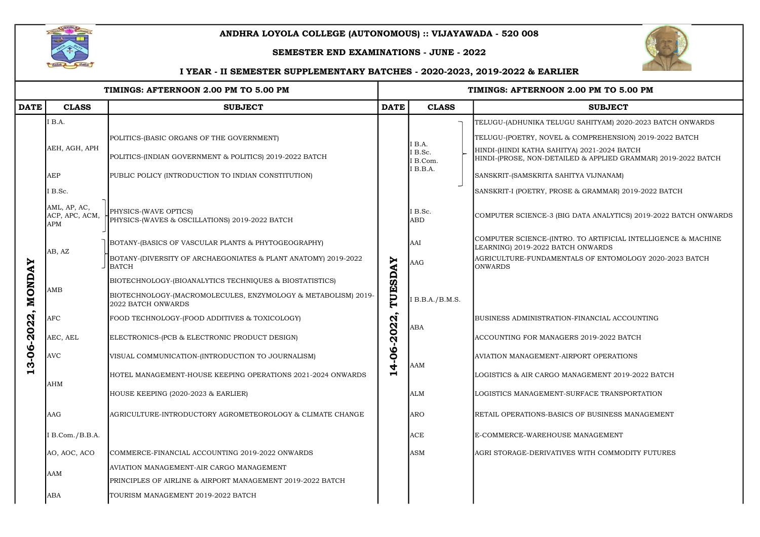| TIMINGS: AFTERNOON 2.00 PM TO 5.00 PM                    |                                              |                                                                                     | TIMINGS: AFTERNOON 2.00 PM TO 5.00 PM   |                                                |                                                                                                            |  |  |  |
|----------------------------------------------------------|----------------------------------------------|-------------------------------------------------------------------------------------|-----------------------------------------|------------------------------------------------|------------------------------------------------------------------------------------------------------------|--|--|--|
| <b>DATE</b>                                              | <b>CLASS</b>                                 | <b>SUBJECT</b>                                                                      |                                         | <b>CLASS</b>                                   | <b>SUBJECT</b>                                                                                             |  |  |  |
| <b>MONDAY</b><br>-2022,<br>$\mathbf{6}$<br><u>က</u><br>Н | IB.A.                                        |                                                                                     |                                         | I B.A.<br>I B.Sc.<br><b>B.Com.</b><br>I B.B.A. | TELUGU-(ADHUNIKA TELUGU SAHITYAM) 2020-2023 BATCH ONWARD                                                   |  |  |  |
|                                                          | AEH, AGH, APH                                | POLITICS-(BASIC ORGANS OF THE GOVERNMENT)                                           |                                         |                                                | TELUGU-(POETRY, NOVEL & COMPREHENSION) 2019-2022 BATCH                                                     |  |  |  |
|                                                          |                                              | POLITICS-(INDIAN GOVERNMENT & POLITICS) 2019-2022 BATCH                             |                                         |                                                | HINDI-(HINDI KATHA SAHITYA) 2021-2024 BATCH<br>HINDI-(PROSE, NON-DETAILED & APPLIED GRAMMAR) 2019-2022 BAT |  |  |  |
|                                                          | <b>AEP</b>                                   | PUBLIC POLICY (INTRODUCTION TO INDIAN CONSTITUTION)                                 |                                         |                                                | SANSKRIT-(SAMSKRITA SAHITYA VIJNANAM)                                                                      |  |  |  |
|                                                          | I B.Sc.                                      |                                                                                     |                                         |                                                | SANSKRIT-I (POETRY, PROSE & GRAMMAR) 2019-2022 BATCH                                                       |  |  |  |
|                                                          | AML, AP, AC,<br>ACP, APC, ACM,<br><b>APM</b> | PHYSICS-(WAVE OPTICS)<br>PHYSICS-(WAVES & OSCILLATIONS) 2019-2022 BATCH             |                                         | I B.Sc.<br><b>ABD</b>                          | COMPUTER SCIENCE-3 (BIG DATA ANALYTICS) 2019-2022 BATCH ONV                                                |  |  |  |
|                                                          | AB, AZ                                       | BOTANY-(BASICS OF VASCULAR PLANTS & PHYTOGEOGRAPHY)                                 |                                         | AAI                                            | COMPUTER SCIENCE-(INTRO. TO ARTIFICIAL INTELLIGENCE & MACHI<br>LEARNING) 2019-2022 BATCH ONWARDS           |  |  |  |
|                                                          |                                              | BOTANY-(DIVERSITY OF ARCHAEGONIATES & PLANT ANATOMY) 2019-2022<br><b>BATCH</b>      |                                         | <b>AAG</b>                                     | AGRICULTURE-FUNDAMENTALS OF ENTOMOLOGY 2020-2023 BATCH<br><b>ONWARDS</b>                                   |  |  |  |
|                                                          | AMB                                          | BIOTECHNOLOGY-(BIOANALYTICS TECHNIQUES & BIOSTATISTICS)                             |                                         |                                                |                                                                                                            |  |  |  |
|                                                          |                                              | BIOTECHNOLOGY-(MACROMOLECULES, ENZYMOLOGY & METABOLISM) 2019-<br>2022 BATCH ONWARDS | TUESDAY                                 | IB.B.A./B.M.S.                                 |                                                                                                            |  |  |  |
|                                                          | $\rm{AFC}$                                   | FOOD TECHNOLOGY-(FOOD ADDITIVES & TOXICOLOGY)                                       |                                         | <b>ABA</b>                                     | BUSINESS ADMINISTRATION-FINANCIAL ACCOUNTING                                                               |  |  |  |
|                                                          | AEC, AEL                                     | ELECTRONICS-(PCB & ELECTRONIC PRODUCT DESIGN)                                       | 2022                                    |                                                | ACCOUNTING FOR MANAGERS 2019-2022 BATCH                                                                    |  |  |  |
|                                                          | <b>AVC</b>                                   | VISUAL COMMUNICATION-(INTRODUCTION TO JOURNALISM)                                   | $\frac{90}{1}$<br>$\blacktriangleright$ |                                                | AVIATION MANAGEMENT-AIRPORT OPERATIONS                                                                     |  |  |  |
|                                                          | AHM                                          | HOTEL MANAGEMENT-HOUSE KEEPING OPERATIONS 2021-2024 ONWARDS                         |                                         | <b>AAM</b>                                     | LOGISTICS & AIR CARGO MANAGEMENT 2019-2022 BATCH                                                           |  |  |  |
|                                                          |                                              | HOUSE KEEPING (2020-2023 & EARLIER)                                                 |                                         | <b>ALM</b>                                     | <b>LOGISTICS MANAGEMENT-SURFACE TRANSPORTATION</b>                                                         |  |  |  |
|                                                          | <b>AAG</b>                                   | AGRICULTURE-INTRODUCTORY AGROMETEOROLOGY & CLIMATE CHANGE                           |                                         | <b>ARO</b>                                     | RETAIL OPERATIONS-BASICS OF BUSINESS MANAGEMENT                                                            |  |  |  |
|                                                          | I B.Com./B.B.A.                              |                                                                                     |                                         | <b>ACE</b>                                     | E-COMMERCE-WAREHOUSE MANAGEMENT                                                                            |  |  |  |
|                                                          | AO, AOC, ACO                                 | COMMERCE-FINANCIAL ACCOUNTING 2019-2022 ONWARDS                                     |                                         | <b>ASM</b>                                     | AGRI STORAGE-DERIVATIVES WITH COMMODITY FUTURES                                                            |  |  |  |
|                                                          | AAM                                          | AVIATION MANAGEMENT-AIR CARGO MANAGEMENT                                            |                                         |                                                |                                                                                                            |  |  |  |
|                                                          |                                              | PRINCIPLES OF AIRLINE & AIRPORT MANAGEMENT 2019-2022 BATCH                          |                                         |                                                |                                                                                                            |  |  |  |
|                                                          | ABA                                          | TOURISM MANAGEMENT 2019-2022 BATCH                                                  |                                         |                                                |                                                                                                            |  |  |  |



## .00 PM TO 5.00 PM

A) 2021-2024 BATCH  $\overline{E}$ D $\,$ & APPLIED GRAMMAR) 2019-2022 BATCH

DATA ANALYTICS) 2019-2022 BATCH ONWARDS

. TO ARTIFICIAL INTELLIGENCE  $\&$  MACHINE H ONWARDS



## ANDHRA LOYOLA COLLEGE (AUTONOMOUS) :: VIJAYAWADA - 520 008

## SEMESTER END EXAMINATIONS - JUNE - 2022

## I YEAR - II SEMESTER SUPPLEMENTARY BATCHES - 2020-2023, 2019-2022 & EARLIER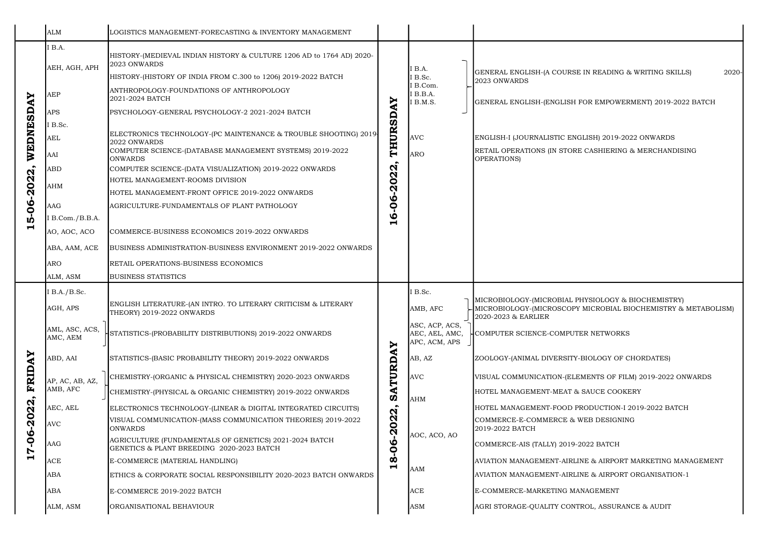|                         | <b>ALM</b>                   | LOGISTICS MANAGEMENT-FORECASTING & INVENTORY MANAGEMENT                                                                                               |                                         |                                                   |                                                                                                              |
|-------------------------|------------------------------|-------------------------------------------------------------------------------------------------------------------------------------------------------|-----------------------------------------|---------------------------------------------------|--------------------------------------------------------------------------------------------------------------|
| WEDNESDAY<br>5-06-2022, | <b>B.A.</b><br>AEH, AGH, APH | HISTORY-(MEDIEVAL INDIAN HISTORY & CULTURE 1206 AD to 1764 AD) 2020-<br>2023 ONWARDS<br>HISTORY-(HISTORY OF INDIA FROM C.300 to 1206) 2019-2022 BATCH |                                         | I B.A.<br>I B.Sc.                                 | GENERAL ENGLISH-(A COURSE IN READING & WRITING SKILLS)<br>2023 ONWARDS                                       |
|                         | AEP                          | ANTHROPOLOGY-FOUNDATIONS OF ANTHROPOLOGY<br>2021-2024 BATCH                                                                                           |                                         | I B.Com.<br>I B.B.A.<br>B.M.S.                    | GENERAL ENGLISH-(ENGLISH FOR EMPOWERMENT) 2019-2022 BA                                                       |
|                         | APS                          | PSYCHOLOGY-GENERAL PSYCHOLOGY-2 2021-2024 BATCH                                                                                                       |                                         |                                                   |                                                                                                              |
|                         | I B.Sc.                      |                                                                                                                                                       |                                         |                                                   |                                                                                                              |
|                         | AEL                          | ELECTRONICS TECHNOLOGY-(PC MAINTENANCE & TROUBLE SHOOTING) 2019<br>2022 ONWARDS                                                                       |                                         | <b>AVC</b>                                        | ENGLISH-I (JOURNALISTIC ENGLISH) 2019-2022 ONWARDS                                                           |
|                         | AAI                          | COMPUTER SCIENCE-(DATABASE MANAGEMENT SYSTEMS) 2019-2022<br><b>ONWARDS</b>                                                                            | THURSDAY                                | <b>ARO</b>                                        | RETAIL OPERATIONS (IN STORE CASHIERING & MERCHANDISING<br>OPERATIONS)                                        |
|                         | ABD                          | COMPUTER SCIENCE-(DATA VISUALIZATION) 2019-2022 ONWARDS                                                                                               | N<br>N                                  |                                                   |                                                                                                              |
|                         | <b>AHM</b>                   | HOTEL MANAGEMENT-ROOMS DIVISION<br>$\bullet$<br>$\bar{\mathbf{N}}$<br>HOTEL MANAGEMENT-FRONT OFFICE 2019-2022 ONWARDS                                 |                                         |                                                   |                                                                                                              |
|                         |                              |                                                                                                                                                       |                                         |                                                   |                                                                                                              |
|                         | <b>AAG</b>                   | AGRICULTURE-FUNDAMENTALS OF PLANT PATHOLOGY                                                                                                           | ဝိဝ                                     |                                                   |                                                                                                              |
|                         | I B.Com./B.B.A.              |                                                                                                                                                       | $\boldsymbol{\omega}$<br>$\blacksquare$ |                                                   |                                                                                                              |
| $\blacksquare$          | AO, AOC, ACO                 | COMMERCE-BUSINESS ECONOMICS 2019-2022 ONWARDS                                                                                                         |                                         |                                                   |                                                                                                              |
|                         | ABA, AAM, ACE                | BUSINESS ADMINISTRATION-BUSINESS ENVIRONMENT 2019-2022 ONWARDS                                                                                        |                                         |                                                   |                                                                                                              |
|                         | <b>ARO</b>                   | RETAIL OPERATIONS-BUSINESS ECONOMICS                                                                                                                  |                                         |                                                   |                                                                                                              |
|                         |                              |                                                                                                                                                       |                                         |                                                   |                                                                                                              |
|                         | ALM, ASM                     | <b>BUSINESS STATISTICS</b>                                                                                                                            |                                         |                                                   |                                                                                                              |
|                         | I B.A./B.Sc.                 |                                                                                                                                                       |                                         | I B.Sc.                                           |                                                                                                              |
|                         | AGH, APS                     | ENGLISH LITERATURE-(AN INTRO. TO LITERARY CRITICISM & LITERARY<br>THEORY) 2019-2022 ONWARDS                                                           |                                         | AMB, AFC                                          | MICROBIOLOGY-(MICROBIAL PHYSIOLOGY & BIOCHEMISTRY)<br>-MICROBIOLOGY-(MICROSCOPY MICROBIAL BIOCHEMISTRY & MET |
|                         | AML, ASC, ACS,<br>AMC, AEM   | STATISTICS-(PROBABILITY DISTRIBUTIONS) 2019-2022 ONWARDS                                                                                              | ≻                                       | ASC, ACP, ACS,<br>AEC, AEL, AMC,<br>APC, ACM, APS | 2020-2023 & EARLIER<br>HCOMPUTER SCIENCE-COMPUTER NETWORKS                                                   |
|                         | ABD, AAI                     | STATISTICS-(BASIC PROBABILITY THEORY) 2019-2022 ONWARDS                                                                                               | ⋖                                       | AB, AZ                                            | ZOOLOGY-(ANIMAL DIVERSITY-BIOLOGY OF CHORDATES)                                                              |
|                         |                              | CHEMISTRY-(ORGANIC & PHYSICAL CHEMISTRY) 2020-2023 ONWARDS                                                                                            |                                         | <b>AVC</b>                                        | VISUAL COMMUNICATION-(ELEMENTS OF FILM) 2019-2022 ONWAI                                                      |
| FRIDAY                  | AP, AC, AB, AZ,<br>AMB, AFC  | CHEMISTRY-(PHYSICAL & ORGANIC CHEMISTRY) 2019-2022 ONWARDS                                                                                            | SATURD                                  | <b>AHM</b>                                        | HOTEL MANAGEMENT-MEAT & SAUCE COOKERY                                                                        |
|                         | AEC, AEL                     | ELECTRONICS TECHNOLOGY-(LINEAR & DIGITAL INTEGRATED CIRCUITS)                                                                                         | $\bullet$                               |                                                   | HOTEL MANAGEMENT-FOOD PRODUCTION-I 2019-2022 BATCH                                                           |
|                         | <b>AVC</b>                   | VISUAL COMMUNICATION-(MASS COMMUNICATION THEORIES) 2019-2022<br><b>ONWARDS</b>                                                                        | N<br>$\boldsymbol{\alpha}$<br>$\bullet$ |                                                   | COMMERCE-E-COMMERCE & WEB DESIGNING<br>2019-2022 BATCH                                                       |
|                         | AAG                          | AGRICULTURE (FUNDAMENTALS OF GENETICS) 2021-2024 BATCH<br>GENETICS & PLANT BREEDING 2020-2023 BATCH                                                   | Ņ<br>$\boldsymbol{\omega}$<br>Ō         | AOC, ACO, AO                                      | COMMERCE-AIS (TALLY) 2019-2022 BATCH                                                                         |
| 17-06-2022              | ACE                          | E-COMMERCE (MATERIAL HANDLING)                                                                                                                        | $\infty$                                |                                                   | AVIATION MANAGEMENT-AIRLINE & AIRPORT MARKETING MANAG                                                        |
|                         | ABA                          | ETHICS & CORPORATE SOCIAL RESPONSIBILITY 2020-2023 BATCH ONWARDS                                                                                      | $\blacksquare$                          | <b>AAM</b>                                        | AVIATION MANAGEMENT-AIRLINE & AIRPORT ORGANISATION-1                                                         |
|                         | ABA                          | E-COMMERCE 2019-2022 BATCH                                                                                                                            |                                         | <b>ACE</b>                                        | E-COMMERCE-MARKETING MANAGEMENT                                                                              |

SE IN READING & WRITING SKILLS) 2020-

H FOR EMPOWERMENT) 2019-2022 BATCH

### PHYSIOLOGY & BIOCHEMISTRY) PY MICROBIAL BIOCHEMISTRY  $\stackrel{\circ}{\in}$  METABOLISM)

LEMENTS OF FILM) 2019-2022 ONWARDS

RLINE & AIRPORT MARKETING MANAGEMENT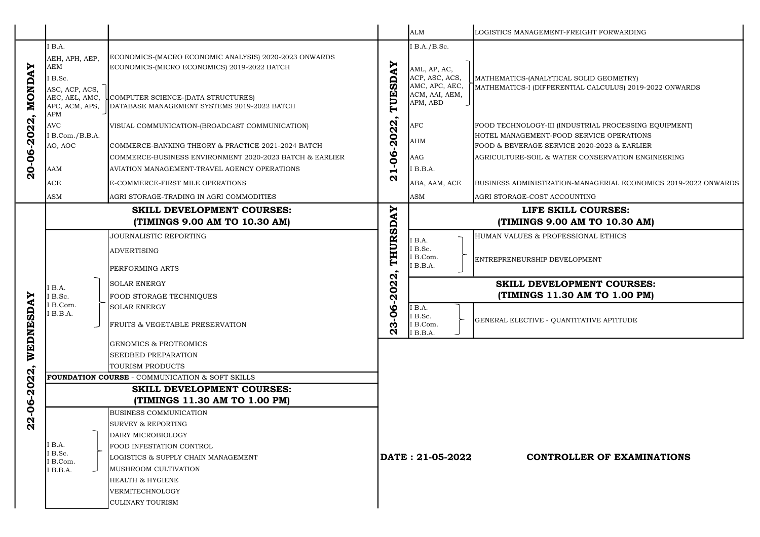|                                                                                                                       |                                                                                                        |                                                                                                                                                                                                                                                                                                 |                                                                                             | <b>ALM</b>                                                                                     | LOGISTICS MANAGEMENT-FREIGHT FORWARDING                                                                                                                                                                                                                              |
|-----------------------------------------------------------------------------------------------------------------------|--------------------------------------------------------------------------------------------------------|-------------------------------------------------------------------------------------------------------------------------------------------------------------------------------------------------------------------------------------------------------------------------------------------------|---------------------------------------------------------------------------------------------|------------------------------------------------------------------------------------------------|----------------------------------------------------------------------------------------------------------------------------------------------------------------------------------------------------------------------------------------------------------------------|
| <b>NONDAY</b><br>$-2022$<br>20-06                                                                                     | IB.A.<br>AEH, APH, AEP,<br><b>AEM</b><br>I B.Sc.<br>ASC, ACP, ACS,<br>AEC, AEL, AMC,<br>APC, ACM, APS, | ECONOMICS-(MACRO ECONOMIC ANALYSIS) 2020-2023 ONWARDS<br>ECONOMICS-(MICRO ECONOMICS) 2019-2022 BATCH<br>COMPUTER SCIENCE-(DATA STRUCTURES)<br>DATABASE MANAGEMENT SYSTEMS 2019-2022 BATCH                                                                                                       | TUESDAY                                                                                     | I B.A./B.Sc.<br>AML, AP, AC,<br>ACP, ASC, ACS,<br>AMC, APC, AEC,<br>ACM, AAI, AEM,<br>APM, ABD | MATHEMATICS-(ANALYTICAL SOLID GEOMETRY)<br>MATHEMATICS-I (DIFFERENTIAL CALCULUS) 2019-20                                                                                                                                                                             |
|                                                                                                                       | <b>APM</b><br><b>AVC</b><br>I B.Com./B.B.A.<br>AO, AOC<br><b>AAM</b><br><b>ACE</b><br>ASM              | VISUAL COMMUNICATION-(BROADCAST COMMUNICATION)<br>COMMERCE-BANKING THEORY & PRACTICE 2021-2024 BATCH<br>COMMERCE-BUSINESS ENVIRONMENT 2020-2023 BATCH & EARLIER<br>AVIATION MANAGEMENT-TRAVEL AGENCY OPERATIONS<br>E-COMMERCE-FIRST MILE OPERATIONS<br>AGRI STORAGE-TRADING IN AGRI COMMODITIES | 1-06-2022,<br>$\boldsymbol{\alpha}$                                                         | <b>AFC</b><br><b>AHM</b><br><b>AAG</b><br>I B.B.A.<br>ABA, AAM, ACE<br><b>ASM</b>              | FOOD TECHNOLOGY-III (INDUSTRIAL PROCESSING E<br>HOTEL MANAGEMENT-FOOD SERVICE OPERATIONS<br>FOOD & BEVERAGE SERVICE 2020-2023 & EARLIER<br>AGRICULTURE-SOIL & WATER CONSERVATION ENGIL<br>BUSINESS ADMINISTRATION-MANAGERIAL ECONOMI<br>AGRI STORAGE-COST ACCOUNTING |
| AY<br>WEDNESD<br>$\bullet$<br>$\boldsymbol{\mathsf{N}}$<br>$\boldsymbol{\mathsf{N}}$<br>Ō<br>Ņ<br>$\frac{6}{1}$<br>22 |                                                                                                        | <b>SKILL DEVELOPMENT COURSES:</b><br>(TIMINGS 9.00 AM TO 10.30 AM)<br>JOURNALISTIC REPORTING<br><b>ADVERTISING</b>                                                                                                                                                                              | THURSDAY                                                                                    | I B.A.<br>I B.Sc.<br>I B.Com.<br>I B.B.A.                                                      | LIFE SKILL COURSES:<br>(TIMINGS 9.00 AM TO 10.30 AM)<br>HUMAN VALUES & PROFESSIONAL ETHICS<br>ENTREPRENEURSHIP DEVELOPMENT                                                                                                                                           |
|                                                                                                                       | B.A.<br>B.Sc.<br>I B.Com.<br>I B.B.A.                                                                  | PERFORMING ARTS<br><b>SOLAR ENERGY</b><br>FOOD STORAGE TECHNIQUES<br><b>SOLAR ENERGY</b><br><b>FRUITS &amp; VEGETABLE PRESERVATION</b>                                                                                                                                                          | -2022<br>$\boldsymbol{\omega}$<br>$\tilde{\mathsf{Q}}$<br><b>N</b><br>$\boldsymbol{\alpha}$ | I B.A.<br>I B.Sc.<br>I B.Com.<br>I B.B.A.                                                      | <b>SKILL DEVELOPMENT COURSES:</b><br>(TIMINGS 11.30 AM TO 1.00 PM)<br>GENERAL ELECTIVE - QUANTITATIVE APTITUDE                                                                                                                                                       |
|                                                                                                                       |                                                                                                        | <b>GENOMICS &amp; PROTEOMICS</b><br>SEEDBED PREPARATION<br>TOURISM PRODUCTS<br><b>FOUNDATION COURSE - COMMUNICATION &amp; SOFT SKILLS</b><br><b>SKILL DEVELOPMENT COURSES:</b>                                                                                                                  |                                                                                             |                                                                                                |                                                                                                                                                                                                                                                                      |
|                                                                                                                       | I B.A.<br>B.Sc.<br>B.Com.<br>I B.B.A.                                                                  | (TIMINGS 11.30 AM TO 1.00 PM)<br><b>BUSINESS COMMUNICATION</b><br><b>SURVEY &amp; REPORTING</b><br>DAIRY MICROBIOLOGY<br>FOOD INFESTATION CONTROL<br>LOGISTICS & SUPPLY CHAIN MANAGEMENT<br>MUSHROOM CULTIVATION<br><b>HEALTH &amp; HYGIENE</b><br>VERMITECHNOLOGY<br><b>CULINARY TOURISM</b>   |                                                                                             | DATE: 21-05-2022                                                                               | <b>CONTROLLER OF EXAMIN.</b>                                                                                                                                                                                                                                         |

SOLID GEOMETRY) IAL CALCULUS) 2019-2022 ONWARDS

JSTRIAL PROCESSING EQUIPMENT) SERVICE OPERATIONS 2020-2023 & EARLIER CONSERVATION ENGINEERING

MANAGERIAL ECONOMICS 2019-2022 ONWARDS

# . COURSES:

## MENT COURSES: (AM TO 1.00 PM)

## LER OF EXAMINATIONS